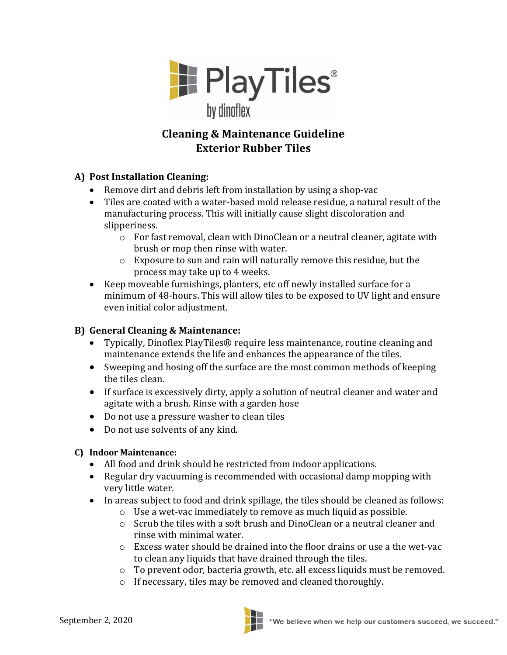

## **Cleaning & Maintenance Guideline Exterior Rubber Tiles**

## **A) Post Installation Cleaning:**

- Remove dirt and debris left from installation by using a shop-vac
- Tiles are coated with a water-based mold release residue, a natural result of the manufacturing process. This will initially cause slight discoloration and slipperiness.
	- o For fast removal, clean with DinoClean or a neutral cleaner, agitate with brush or mop then rinse with water.
	- o Exposure to sun and rain will naturally remove this residue, but the process may take up to 4 weeks.
- Keep moveable furnishings, planters, etc off newly installed surface for a minimum of 48-hours. This will allow tiles to be exposed to UV light and ensure even initial color adjustment.

## **B) General Cleaning & Maintenance:**

- Typically, Dinoflex PlayTiles® require less maintenance, routine cleaning and maintenance extends the life and enhances the appearance of the tiles.
- Sweeping and hosing off the surface are the most common methods of keeping the tiles clean.
- If surface is excessively dirty, apply a solution of neutral cleaner and water and agitate with a brush. Rinse with a garden hose
- Do not use a pressure washer to clean tiles
- Do not use solvents of any kind.

## **C) Indoor Maintenance:**

- All food and drink should be restricted from indoor applications.
- Regular dry vacuuming is recommended with occasional damp mopping with very little water.
- In areas subject to food and drink spillage, the tiles should be cleaned as follows:
	- o Use a wet-vac immediately to remove as much liquid as possible.
	- $\circ$  Scrub the tiles with a soft brush and DinoClean or a neutral cleaner and rinse with minimal water.
	- $\circ$  Excess water should be drained into the floor drains or use a the wet-vac to clean any liquids that have drained through the tiles.
	- o To prevent odor, bacteria growth, etc. all excess liquids must be removed.
	- o If necessary, tiles may be removed and cleaned thoroughly.